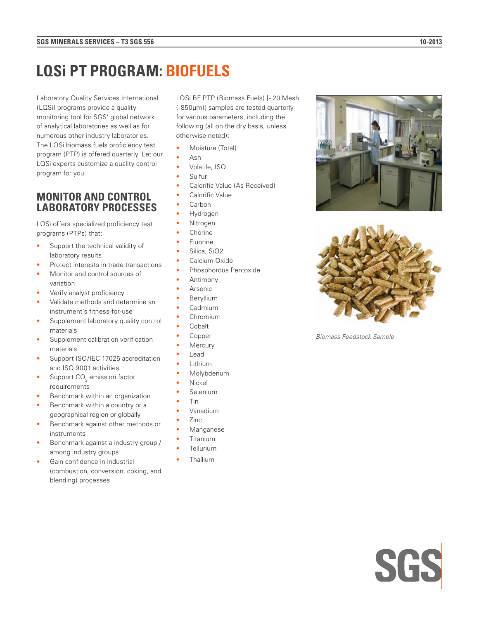## **LQSi PT PROGRAM: BIOFUELS**

Laboratory Quality Services International (LQSi) programs provide a qualitymonitoring tool for SGS' global network of analytical laboratories as well as for numerous other industry laboratories. The LQSi biomass fuels proficiency test program (PTP) is offered quarterly. Let our LQSi experts customize a quality control program for you.

## **MONITOR AND CONTROL LABORATORY PROCESSES**

LQSi offers specialized proficiency test programs (PTPs) that:

- Support the technical validity of laboratory results
- Protect interests in trade transactions
- Monitor and control sources of variation
- Verify analyst proficiency
- Validate methods and determine an instrument's fitness-for-use
- Supplement laboratory quality control materials
- Supplement calibration verification materials
- Support ISO/IEC 17025 accreditation and ISO 9001 activities
- Support  $CO<sub>2</sub>$  emission factor requirements
- Benchmark within an organization
- Benchmark within a country or a geographical region or globally
- Benchmark against other methods or instruments
- Benchmark against a industry group / among industry groups
- Gain confidence in industrial (combustion, conversion, coking, and blending) processes

LQSi BF PTP (Biomass Fuels) [- 20 Mesh (-850µm)] samples are tested quarterly for various parameters, including the following (all on the dry basis, unless otherwise noted):

- Moisture (Total)
- Ash
- Volatile, ISO
- Sulfur
- Calorific Value (As Received)
- Calorific Value
- Carbon
- Hydrogen
- **Nitrogen**
- **Chorine**
- **Fluorine**
- Silica, SiO<sub>2</sub>
- Calcium Oxide • Phosphorous Pentoxide
- Antimony
- **Arsenic**
- **Beryllium**
- Cadmium
- Chromium
- Cobalt
- Copper
- **Mercury**
- **Lead**
- Lithium
- Molybdenum
- Nickel
- **Selenium**
- Tin
- Vanadium
- Zinc
- **Manganese**
- **Titanium**
- **Tellurium**
- **Thallium**





*Biomass Feedstock Sample*